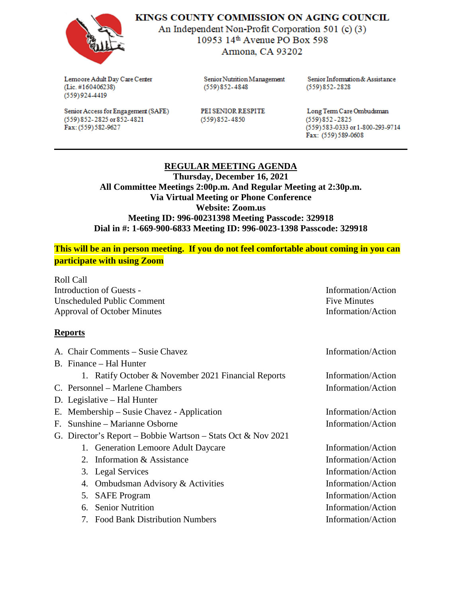

KINGS COUNTY COMMISSION ON AGING COUNCIL

An Independent Non-Profit Corporation 501 (c) (3) 10953 14th Avenue PO Box 598 Armona, CA 93202

Lemoore Adult Day Care Center  $(Lic. #160406238)$  $(559)924-4419$ 

(559) 852-2825 or 852-4821

Fax: (559) 582-9627

Senior Access for Engagement (SAFE)

Senior Nutrition Management  $(559)852 - 4848$ 

PEI SENIOR RESPITE  $(559)852 - 4850$ 

Senior Information & Assistance  $(559)852 - 2828$ 

Long Term Care Ombudsman  $(559)852 - 2825$ (559) 583-0333 or 1-800-293-9714 Fax: (559) 589-0608

## **REGULAR MEETING AGENDA**

**Thursday, December 16, 2021 All Committee Meetings 2:00p.m. And Regular Meeting at 2:30p.m. Via Virtual Meeting or Phone Conference Website: Zoom.us Meeting ID: 996-00231398 Meeting Passcode: 329918 Dial in #: 1-669-900-6833 Meeting ID: 996-0023-1398 Passcode: 329918**

**This will be an in person meeting. If you do not feel comfortable about coming in you can participate with using Zoom**

Roll Call Introduction of Guests - Information/Action Unscheduled Public Comment **Fixe** Section 1 and The Minutes **Fixe** Minutes Approval of October Minutes **Information**/Action

## **Reports**

|  | A. Chair Comments – Susie Chavez                             |                                                     | Information/Action |  |
|--|--------------------------------------------------------------|-----------------------------------------------------|--------------------|--|
|  |                                                              | B. Finance – Hal Hunter                             |                    |  |
|  |                                                              | 1. Ratify October & November 2021 Financial Reports | Information/Action |  |
|  | C. Personnel – Marlene Chambers                              |                                                     | Information/Action |  |
|  |                                                              | D. Legislative – Hal Hunter                         |                    |  |
|  | E. Membership – Susie Chavez - Application                   |                                                     | Information/Action |  |
|  | F. Sunshine – Marianne Osborne                               |                                                     | Information/Action |  |
|  | G. Director's Report – Bobbie Wartson – Stats Oct & Nov 2021 |                                                     |                    |  |
|  |                                                              | 1. Generation Lemoore Adult Daycare                 | Information/Action |  |
|  |                                                              | 2. Information & Assistance                         | Information/Action |  |
|  |                                                              | 3. Legal Services                                   | Information/Action |  |
|  |                                                              | 4. Ombudsman Advisory & Activities                  | Information/Action |  |
|  |                                                              | 5. SAFE Program                                     | Information/Action |  |
|  |                                                              | 6. Senior Nutrition                                 | Information/Action |  |
|  |                                                              | 7. Food Bank Distribution Numbers                   | Information/Action |  |